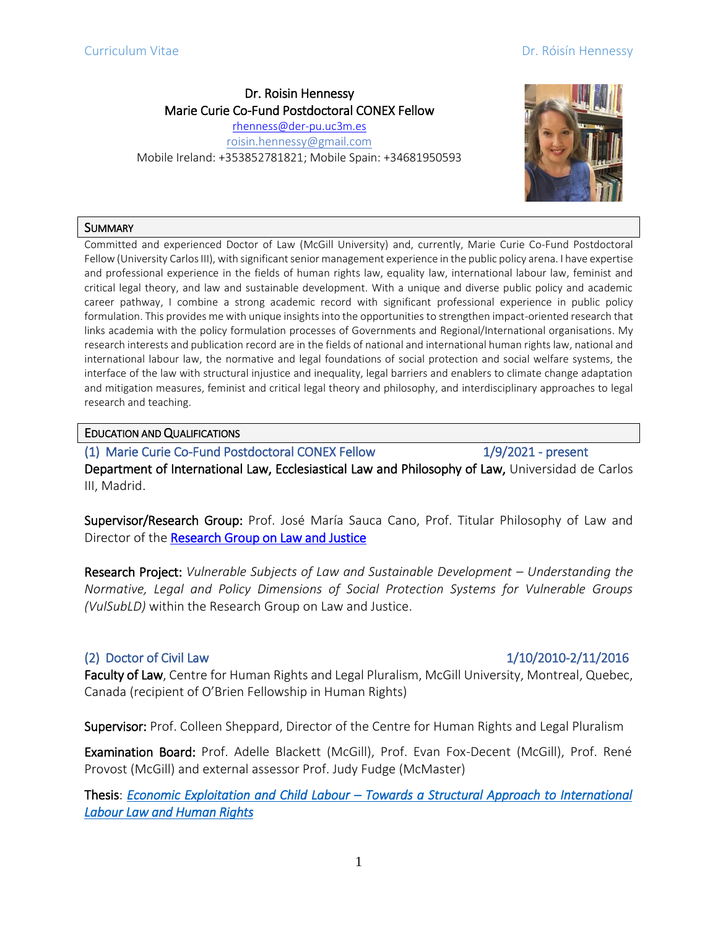## Dr. Roisin Hennessy Marie Curie Co-Fund Postdoctoral CONEX Fellow

[rhenness@der-pu.uc3m.es](mailto:rhenness@der-pu.uc3m.es) [roisin.hennessy@gmail.com](mailto:roisin.hennessy@gmail.com) Mobile Ireland: +353852781821; Mobile Spain: +34681950593



### **SUMMARY**

Committed and experienced Doctor of Law (McGill University) and, currently, Marie Curie Co-Fund Postdoctoral Fellow (University Carlos III), with significant senior management experience in the public policy arena. I have expertise and professional experience in the fields of human rights law, equality law, international labour law, feminist and critical legal theory, and law and sustainable development. With a unique and diverse public policy and academic career pathway, I combine a strong academic record with significant professional experience in public policy formulation. This provides me with unique insights into the opportunities to strengthen impact-oriented research that links academia with the policy formulation processes of Governments and Regional/International organisations. My research interests and publication record are in the fields of national and international human rights law, national and international labour law, the normative and legal foundations of social protection and social welfare systems, the interface of the law with structural injustice and inequality, legal barriers and enablers to climate change adaptation and mitigation measures, feminist and critical legal theory and philosophy, and interdisciplinary approaches to legal research and teaching.

### EDUCATION AND QUALIFICATIONS

(1) Marie Curie Co-Fund Postdoctoral CONEX Fellow 1/9/2021 - present Department of International Law, Ecclesiastical Law and Philosophy of Law, Universidad de Carlos III, Madrid.

Supervisor/Research Group: Prof. José María Sauca Cano, Prof. Titular Philosophy of Law and Director of the [Research Group on Law and Justice](https://derechoyjusticia.net/) 

Research Project: *Vulnerable Subjects of Law and Sustainable Development – Understanding the Normative, Legal and Policy Dimensions of Social Protection Systems for Vulnerable Groups (VulSubLD)* within the Research Group on Law and Justice.

# (2) Doctor of Civil Law1/10/2010-2/11/2016

Faculty of Law, Centre for Human Rights and Legal Pluralism, McGill University, Montreal, Quebec, Canada (recipient of O'Brien Fellowship in Human Rights)

Supervisor: Prof. Colleen Sheppard, Director of the Centre for Human Rights and Legal Pluralism

Examination Board: Prof. Adelle Blackett (McGill), Prof. Evan Fox-Decent (McGill), Prof. René Provost (McGill) and external assessor Prof. Judy Fudge (McMaster)

Thesis: *Economic Exploitation and Child Labour – [Towards a Structural Approach to International](http://digitool.library.mcgill.ca/R/-?func=dbin-jump-full&current_base=GEN01&object_id=143778)  [Labour Law and Human Rights](http://digitool.library.mcgill.ca/R/-?func=dbin-jump-full&current_base=GEN01&object_id=143778)*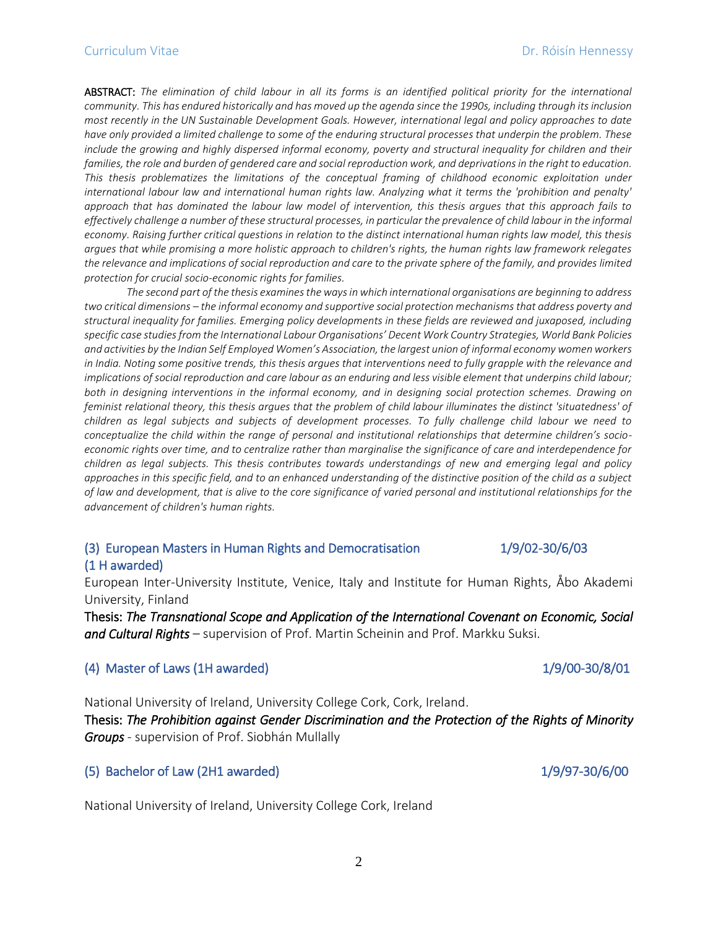ABSTRACT: *The elimination of child labour in all its forms is an identified political priority for the international community. This has endured historically and has moved up the agenda since the 1990s, including through its inclusion most recently in the UN Sustainable Development Goals. However, international legal and policy approaches to date have only provided a limited challenge to some of the enduring structural processes that underpin the problem. These include the growing and highly dispersed informal economy, poverty and structural inequality for children and their* families, the role and burden of gendered care and social reproduction work, and deprivations in the right to education. *This thesis problematizes the limitations of the conceptual framing of childhood economic exploitation under international labour law and international human rights law. Analyzing what it terms the 'prohibition and penalty' approach that has dominated the labour law model of intervention, this thesis argues that this approach fails to effectively challenge a number of these structural processes, in particular the prevalence of child labour in the informal economy. Raising further critical questions in relation to the distinct international human rights law model, this thesis argues that while promising a more holistic approach to children's rights, the human rights law framework relegates the relevance and implications of social reproduction and care to the private sphere of the family, and provides limited protection for crucial socio-economic rights for families.* 

*The second part of the thesis examines the ways in which international organisations are beginning to address two critical dimensions – the informal economy and supportive social protection mechanisms that address poverty and structural inequality for families. Emerging policy developments in these fields are reviewed and juxaposed, including specific case studies from the International Labour Organisations' Decent Work Country Strategies, World Bank Policies and activities by the Indian Self Employed Women's Association, the largest union of informal economy women workers in India. Noting some positive trends, this thesis argues that interventions need to fully grapple with the relevance and implications of social reproduction and care labour as an enduring and less visible element that underpins child labour; both in designing interventions in the informal economy, and in designing social protection schemes. Drawing on feminist relational theory, this thesis argues that the problem of child labour illuminates the distinct 'situatedness' of children as legal subjects and subjects of development processes. To fully challenge child labour we need to conceptualize the child within the range of personal and institutional relationships that determine children's socioeconomic rights over time, and to centralize rather than marginalise the significance of care and interdependence for children as legal subjects. This thesis contributes towards understandings of new and emerging legal and policy approaches in this specific field, and to an enhanced understanding of the distinctive position of the child as a subject of law and development, that is alive to the core significance of varied personal and institutional relationships for the advancement of children's human rights.*

# (3) European Masters in Human Rights and Democratisation 1/9/02-30/6/03 (1 H awarded)

European Inter-University Institute, Venice, Italy and Institute for Human Rights, Åbo Akademi University, Finland

Thesis: *The Transnational Scope and Application of the International Covenant on Economic, Social and Cultural Rights –* supervision of Prof. Martin Scheinin and Prof. Markku Suksi.

### (4) Master of Laws (1H awarded) 1/9/00-30/8/01

National University of Ireland, University College Cork, Cork, Ireland.

Thesis: *The Prohibition against Gender Discrimination and the Protection of the Rights of Minority Groups -* supervision of Prof. Siobhán Mullally

### (5) Bachelor of Law (2H1 awarded) 1/9/97-30/6/00

National University of Ireland, University College Cork, Ireland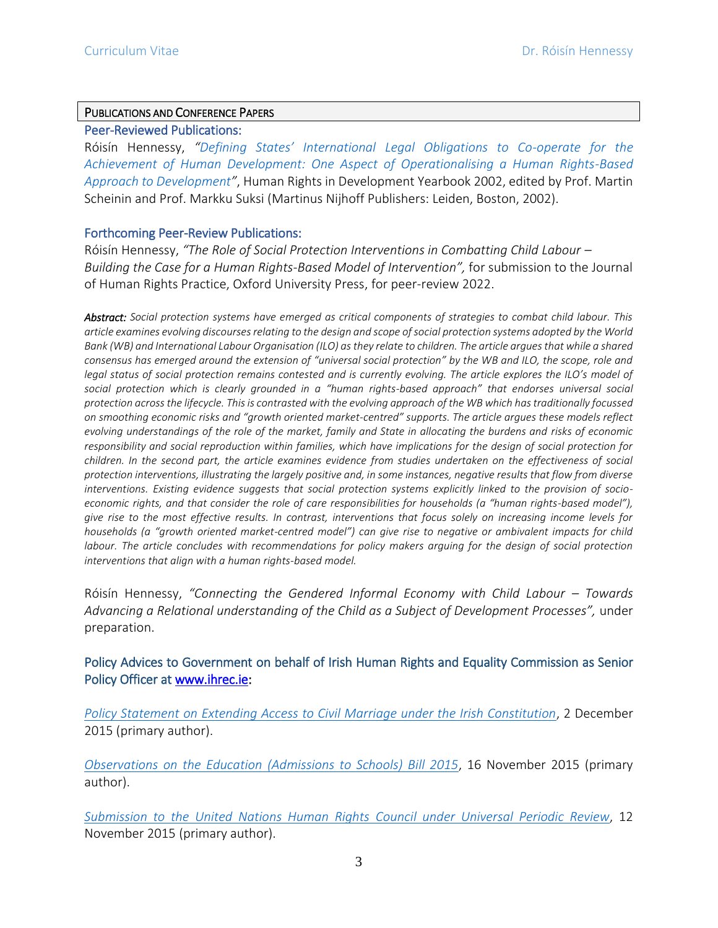## PUBLICATIONS AND CONFERENCE PAPERS

## Peer-Reviewed Publications:

Róisín Hennessy, *["Defining States' International Legal Obligations to Co](https://brill.com/view/title/11254)-operate for the [Achievement of Human Development: One Aspect of Operationalising a Human Rights-Based](https://brill.com/view/title/11254)  [Approach to Development](https://brill.com/view/title/11254)"*, Human Rights in Development Yearbook 2002, edited by Prof. Martin Scheinin and Prof. Markku Suksi (Martinus Nijhoff Publishers: Leiden, Boston, 2002).

### Forthcoming Peer-Review Publications:

Róisín Hennessy, *"The Role of Social Protection Interventions in Combatting Child Labour – Building the Case for a Human Rights-Based Model of Intervention",* for submission to the Journal of Human Rights Practice, Oxford University Press, for peer-review 2022.

*Abstract: Social protection systems have emerged as critical components of strategies to combat child labour. This article examines evolving discourses relating to the design and scope of social protection systems adopted by the World Bank (WB) and International Labour Organisation (ILO) as they relate to children. The article argues that while a shared consensus has emerged around the extension of "universal social protection" by the WB and ILO, the scope, role and legal status of social protection remains contested and is currently evolving. The article explores the ILO's model of social protection which is clearly grounded in a "human rights-based approach" that endorses universal social protection across the lifecycle. This is contrasted with the evolving approach of the WB which has traditionally focussed on smoothing economic risks and "growth oriented market-centred" supports. The article argues these models reflect evolving understandings of the role of the market, family and State in allocating the burdens and risks of economic responsibility and social reproduction within families, which have implications for the design of social protection for children. In the second part, the article examines evidence from studies undertaken on the effectiveness of social protection interventions, illustrating the largely positive and, in some instances, negative results that flow from diverse interventions. Existing evidence suggests that social protection systems explicitly linked to the provision of socioeconomic rights, and that consider the role of care responsibilities for households (a "human rights-based model"), give rise to the most effective results. In contrast, interventions that focus solely on increasing income levels for households (a "growth oriented market-centred model") can give rise to negative or ambivalent impacts for child labour. The article concludes with recommendations for policy makers arguing for the design of social protection interventions that align with a human rights-based model.*

Róisín Hennessy, *"Connecting the Gendered Informal Economy with Child Labour – Towards Advancing a Relational understanding of the Child as a Subject of Development Processes",* under preparation.

# Policy Advices to Government on behalf of Irish Human Rights and Equality Commission as Senior Policy Officer at [www.ihrec.ie:](http://www.ihrec.ie/)

*[Policy Statement on Extending Access to Civil Marriage under the Irish Constitution](https://www.ihrec.ie/app/uploads/download/pdf/ihrec_policy_statement_access_civil_marriage_11_feb_2015.pdf)*, 2 December 2015 (primary author).

*Observations on the Education [\(Admissions to Schools\) Bill 2015](https://www.ihrec.ie/app/uploads/download/pdf/ihrec_observations_on_education_admission_to_schools_bill_2015.pdf)*, 16 November 2015 (primary author).

*[Submission to the United Nations Human Rights Council under Universal Periodic Review](https://www.ihrec.ie/app/uploads/download/pdf/irish_human_rights_and_equality_commission_upr_submission__ireland_2016.pdf)*, 12 November 2015 (primary author).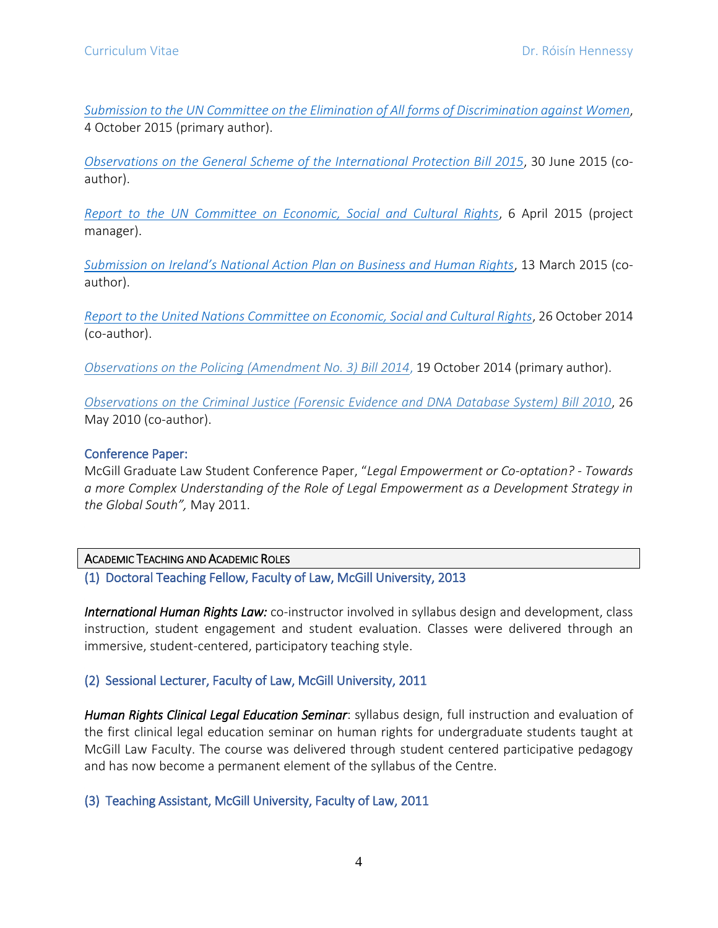*[Submission to the UN Committee on the Elimination of All forms of Discrimination against Women](https://www.ihrec.ie/app/uploads/download/pdf/ihrec_submission_to_cedaw_loipr_2015.pdf)*, 4 October 2015 (primary author).

*[Observations on the General Scheme of the International Protection Bill 2015](https://www.ihrec.ie/app/uploads/download/pdf/ihrec_recs_general_scheme_internation_protection_bill_26_june_2015.pdf)*, 30 June 2015 (coauthor).

*[Report to the UN Committee on Economic, Social and Cultural Rights](https://www.ihrec.ie/download/pdf/ihrec_report_ireland_and_the_international_covenant_on_economic_social_and_cultural_rights.pdf)*, 6 April 2015 (project manager).

*[Submission on Ireland's National Action Plan on Business and Human Rights](https://www.ihrec.ie/app/uploads/2017/06/Submission-on-Ireland%E2%80%99s-National-Action-Plan-on-Business-and-Human-Rights.pdf)*, 13 March 2015 (coauthor).

*[Report to the United Nations Committee on Economic, Social and Cultural Rights](https://www.ihrec.ie/app/uploads/download/pdf/icescr_report.pdf)*, 26 October 2014 (co-author).

*[Observations on the Policing \(Amendment No. 3\) Bill 2014](https://www.ihrec.ie/app/uploads/download/pdf/ihrec_observations_on_the_garda_sochna_amendment_no_3_bill_2014_nov_2014.pdf)*, 19 October 2014 (primary author).

*[Observations on the Criminal Justice \(Forensic Evidence and DNA Database System\) Bill 2010](https://www.ihrec.ie/documents/observations-on-the-criminal-justice-forensic-evidence-and-dna-database-system-bill-2010/)*, 26 May 2010 (co-author).

## Conference Paper:

McGill Graduate Law Student ConferencePaper, "*Legal Empowerment or Co-optation? - Towards a more Complex Understanding of the Role of Legal Empowerment as a Development Strategy in the Global South",* May 2011.

ACADEMIC TEACHING AND ACADEMIC ROLES

(1) Doctoral Teaching Fellow, Faculty of Law, McGill University, 2013

*International Human Rights Law:* co-instructor involved in syllabus design and development, class instruction, student engagement and student evaluation. Classes were delivered through an immersive, student-centered, participatory teaching style.

# (2) Sessional Lecturer, Faculty of Law, McGill University, 2011

*Human Rights Clinical Legal Education Seminar*: syllabus design, full instruction and evaluation of the first clinical legal education seminar on human rights for undergraduate students taught at McGill Law Faculty. The course was delivered through student centered participative pedagogy and has now become a permanent element of the syllabus of the Centre.

(3) Teaching Assistant, McGill University, Faculty of Law, 2011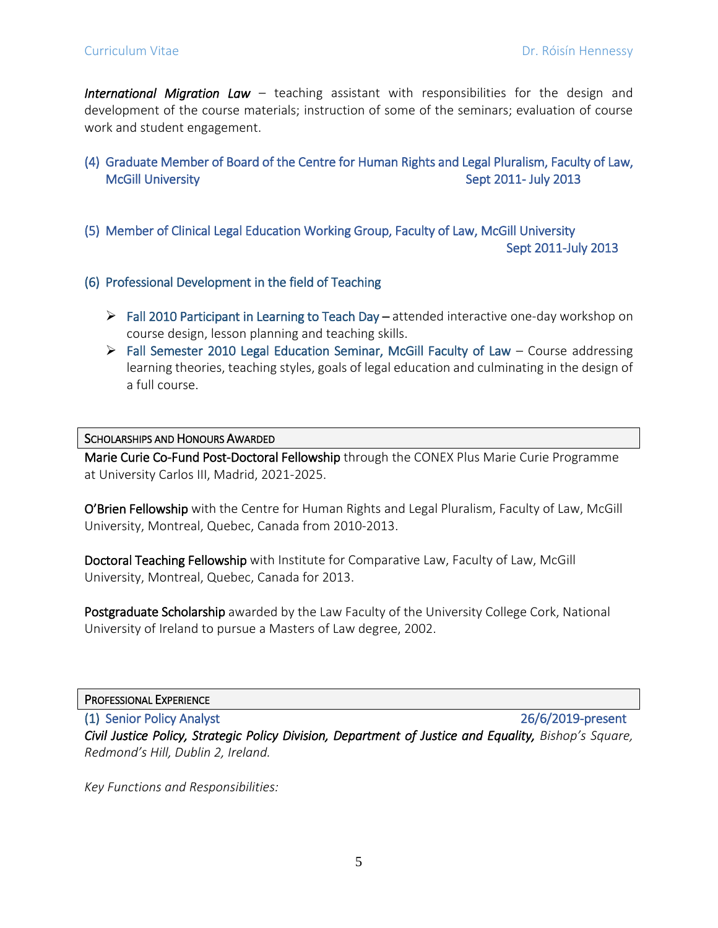*International Migration Law* – teaching assistant with responsibilities for the design and development of the course materials; instruction of some of the seminars; evaluation of course work and student engagement.

- (4) Graduate Member of Board of the Centre for Human Rights and Legal Pluralism, Faculty of Law, McGill University **Sept 2011- July 2013**
- (5) Member of Clinical Legal Education Working Group, Faculty of Law, McGill University Sept 2011-July 2013
- (6) Professional Development in the field of Teaching
	- ➢ Fall 2010 Participant in Learning to Teach Day attended interactive one-day workshop on course design, lesson planning and teaching skills.
	- $\triangleright$  Fall Semester 2010 Legal Education Seminar, McGill Faculty of Law Course addressing learning theories, teaching styles, goals of legal education and culminating in the design of a full course.

### SCHOLARSHIPS AND HONOURS AWARDED

Marie Curie Co-Fund Post-Doctoral Fellowship through the CONEX Plus Marie Curie Programme at University Carlos III, Madrid, 2021-2025.

O'Brien Fellowship with the Centre for Human Rights and Legal Pluralism, Faculty of Law, McGill University, Montreal, Quebec, Canada from 2010-2013.

Doctoral Teaching Fellowship with Institute for Comparative Law, Faculty of Law, McGill University, Montreal, Quebec, Canada for 2013.

Postgraduate Scholarship awarded by the Law Faculty of the University College Cork, National University of Ireland to pursue a Masters of Law degree, 2002.

PROFESSIONAL EXPERIENCE

(1) Senior Policy Analyst 26/6/2019-present *Civil Justice Policy, Strategic Policy Division, Department of Justice and Equality, Bishop's Square, Redmond's Hill, Dublin 2, Ireland.*

*Key Functions and Responsibilities:*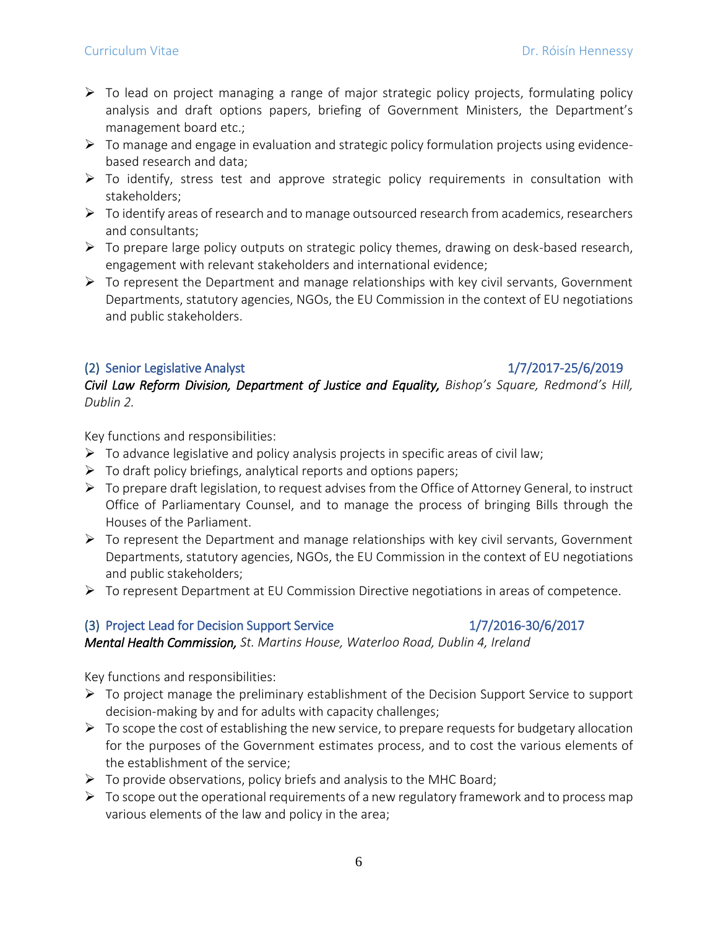- $\triangleright$  To lead on project managing a range of major strategic policy projects, formulating policy analysis and draft options papers, briefing of Government Ministers, the Department's management board etc.;
- $\triangleright$  To manage and engage in evaluation and strategic policy formulation projects using evidencebased research and data;
- $\triangleright$  To identify, stress test and approve strategic policy requirements in consultation with stakeholders;
- $\triangleright$  To identify areas of research and to manage outsourced research from academics, researchers and consultants;
- $\triangleright$  To prepare large policy outputs on strategic policy themes, drawing on desk-based research, engagement with relevant stakeholders and international evidence;
- $\triangleright$  To represent the Department and manage relationships with key civil servants, Government Departments, statutory agencies, NGOs, the EU Commission in the context of EU negotiations and public stakeholders.

## (2) Senior Legislative Analyst 1/7/2017-25/6/2019

*Civil Law Reform Division, Department of Justice and Equality, Bishop's Square, Redmond's Hill, Dublin 2.*

Key functions and responsibilities:

- $\triangleright$  To advance legislative and policy analysis projects in specific areas of civil law;
- $\triangleright$  To draft policy briefings, analytical reports and options papers;
- $\triangleright$  To prepare draft legislation, to request advises from the Office of Attorney General, to instruct Office of Parliamentary Counsel, and to manage the process of bringing Bills through the Houses of the Parliament.
- $\triangleright$  To represent the Department and manage relationships with key civil servants, Government Departments, statutory agencies, NGOs, the EU Commission in the context of EU negotiations and public stakeholders;
- ➢ To represent Department at EU Commission Directive negotiations in areas of competence.

# (3) Project Lead for Decision Support Service  $1/7/2016-30/6/2017$

*Mental Health Commission, St. Martins House, Waterloo Road, Dublin 4, Ireland*

Key functions and responsibilities:

- ➢ To project manage the preliminary establishment of the Decision Support Service to support decision-making by and for adults with capacity challenges;
- $\triangleright$  To scope the cost of establishing the new service, to prepare requests for budgetary allocation for the purposes of the Government estimates process, and to cost the various elements of the establishment of the service;
- $\triangleright$  To provide observations, policy briefs and analysis to the MHC Board;
- $\triangleright$  To scope out the operational requirements of a new regulatory framework and to process map various elements of the law and policy in the area;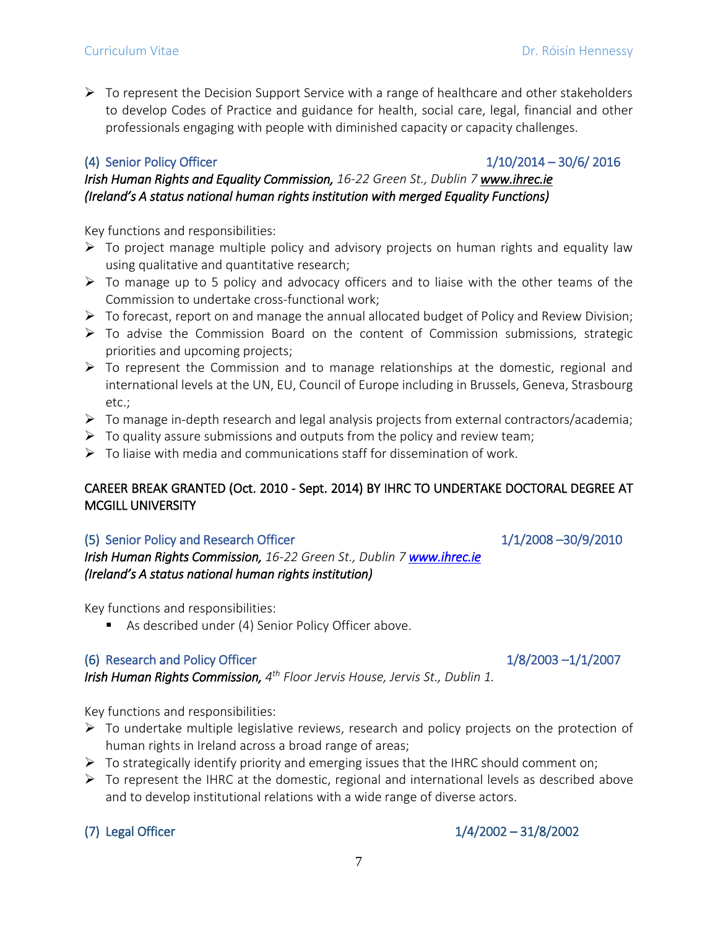$\triangleright$  To represent the Decision Support Service with a range of healthcare and other stakeholders to develop Codes of Practice and guidance for health, social care, legal, financial and other professionals engaging with people with diminished capacity or capacity challenges.

# (4) Senior Policy Officer 1/10/2014 – 30/6/ 2016

*Irish Human Rights and Equality Commission, 16-22 Green St., Dublin 7 www.ihrec.ie (Ireland's A status national human rights institution with merged Equality Functions)* 

Key functions and responsibilities:

- $\triangleright$  To project manage multiple policy and advisory projects on human rights and equality law using qualitative and quantitative research;
- ➢ To manage up to 5 policy and advocacy officers and to liaise with the other teams of the Commission to undertake cross-functional work;
- $\triangleright$  To forecast, report on and manage the annual allocated budget of Policy and Review Division;
- $\triangleright$  To advise the Commission Board on the content of Commission submissions, strategic priorities and upcoming projects;
- $\triangleright$  To represent the Commission and to manage relationships at the domestic, regional and international levels at the UN, EU, Council of Europe including in Brussels, Geneva, Strasbourg etc.;
- ➢ To manage in-depth research and legal analysis projects from external contractors/academia;
- $\triangleright$  To quality assure submissions and outputs from the policy and review team;
- $\triangleright$  To liaise with media and communications staff for dissemination of work.

# CAREER BREAK GRANTED (Oct. 2010 - Sept. 2014) BY IHRC TO UNDERTAKE DOCTORAL DEGREE AT MCGILL UNIVERSITY

# (5) Senior Policy and Research Officer 1/1/2008 –30/9/2010

*Irish Human Rights Commission, 16-22 Green St., Dublin [7 www.ihrec.ie](http://www.ihrec.ie/)  (Ireland's A status national human rights institution)* 

Key functions and responsibilities:

■ As described under (4) Senior Policy Officer above.

# (6) Research and Policy Officer  $1/8/2003 - 1/1/2007$

*Irish Human Rights Commission, 4 th Floor Jervis House, Jervis St., Dublin 1.* 

Key functions and responsibilities:

- ➢ To undertake multiple legislative reviews, research and policy projects on the protection of human rights in Ireland across a broad range of areas;
- $\triangleright$  To strategically identify priority and emerging issues that the IHRC should comment on;
- $\triangleright$  To represent the IHRC at the domestic, regional and international levels as described above and to develop institutional relations with a wide range of diverse actors.

# (7) Legal Officer 1/4/2002 – 31/8/2002